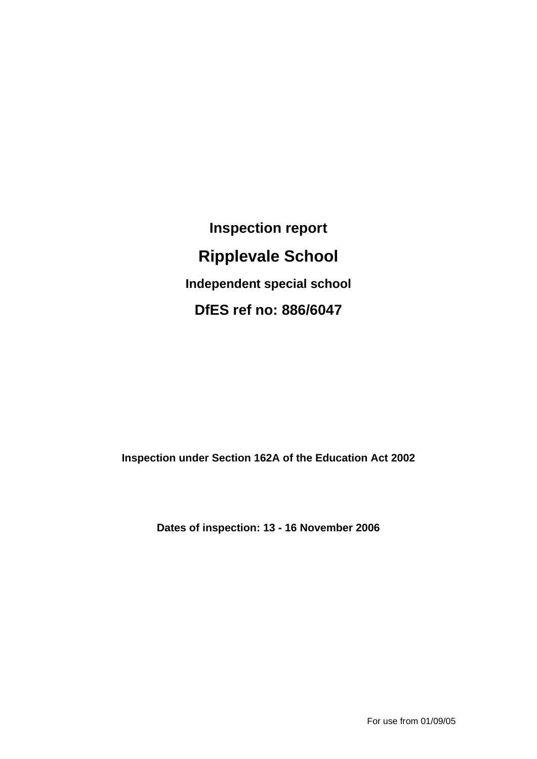# **Inspection report Ripplevale School Independent special school DfES ref no: 886/6047**

**Inspection under Section 162A of the Education Act 2002**

**Dates of inspection: 13 - 16 November 2006**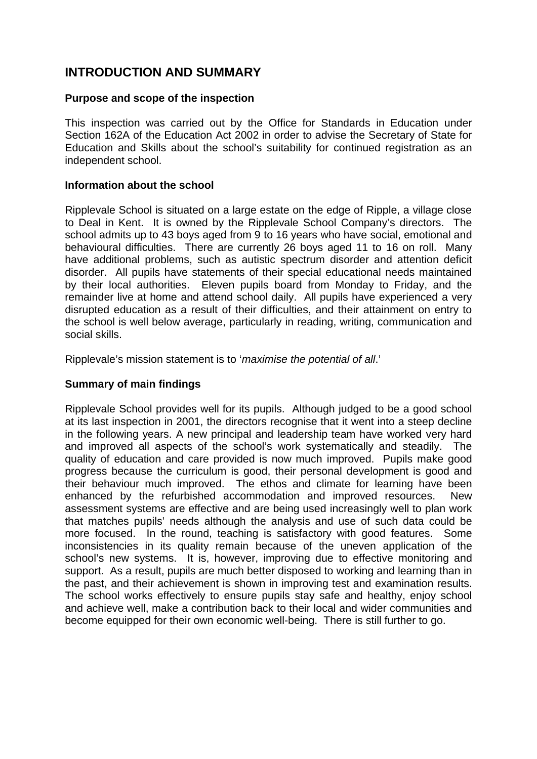# **INTRODUCTION AND SUMMARY**

### **Purpose and scope of the inspection**

This inspection was carried out by the Office for Standards in Education under Section 162A of the Education Act 2002 in order to advise the Secretary of State for Education and Skills about the school's suitability for continued registration as an independent school.

### **Information about the school**

Ripplevale School is situated on a large estate on the edge of Ripple, a village close to Deal in Kent. It is owned by the Ripplevale School Company's directors. The school admits up to 43 boys aged from 9 to 16 years who have social, emotional and behavioural difficulties. There are currently 26 boys aged 11 to 16 on roll. Many have additional problems, such as autistic spectrum disorder and attention deficit disorder. All pupils have statements of their special educational needs maintained by their local authorities. Eleven pupils board from Monday to Friday, and the remainder live at home and attend school daily. All pupils have experienced a very disrupted education as a result of their difficulties, and their attainment on entry to the school is well below average, particularly in reading, writing, communication and social skills.

Ripplevale's mission statement is to '*maximise the potential of all*.'

### **Summary of main findings**

Ripplevale School provides well for its pupils. Although judged to be a good school at its last inspection in 2001, the directors recognise that it went into a steep decline in the following years. A new principal and leadership team have worked very hard and improved all aspects of the school's work systematically and steadily. The quality of education and care provided is now much improved. Pupils make good progress because the curriculum is good, their personal development is good and their behaviour much improved. The ethos and climate for learning have been enhanced by the refurbished accommodation and improved resources. New assessment systems are effective and are being used increasingly well to plan work that matches pupils' needs although the analysis and use of such data could be more focused. In the round, teaching is satisfactory with good features. Some inconsistencies in its quality remain because of the uneven application of the school's new systems. It is, however, improving due to effective monitoring and support. As a result, pupils are much better disposed to working and learning than in the past, and their achievement is shown in improving test and examination results. The school works effectively to ensure pupils stay safe and healthy, enjoy school and achieve well, make a contribution back to their local and wider communities and become equipped for their own economic well-being. There is still further to go.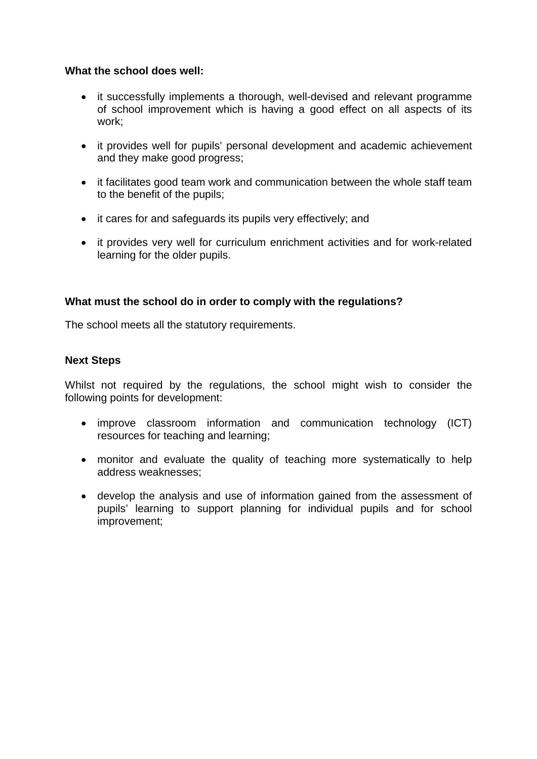### **What the school does well:**

- it successfully implements a thorough, well-devised and relevant programme of school improvement which is having a good effect on all aspects of its work;
- it provides well for pupils' personal development and academic achievement and they make good progress;
- it facilitates good team work and communication between the whole staff team to the benefit of the pupils;
- it cares for and safeguards its pupils very effectively; and
- it provides very well for curriculum enrichment activities and for work-related learning for the older pupils.

### **What must the school do in order to comply with the regulations?**

The school meets all the statutory requirements.

### **Next Steps**

Whilst not required by the regulations, the school might wish to consider the following points for development:

- improve classroom information and communication technology (ICT) resources for teaching and learning;
- monitor and evaluate the quality of teaching more systematically to help address weaknesses;
- develop the analysis and use of information gained from the assessment of pupils' learning to support planning for individual pupils and for school improvement;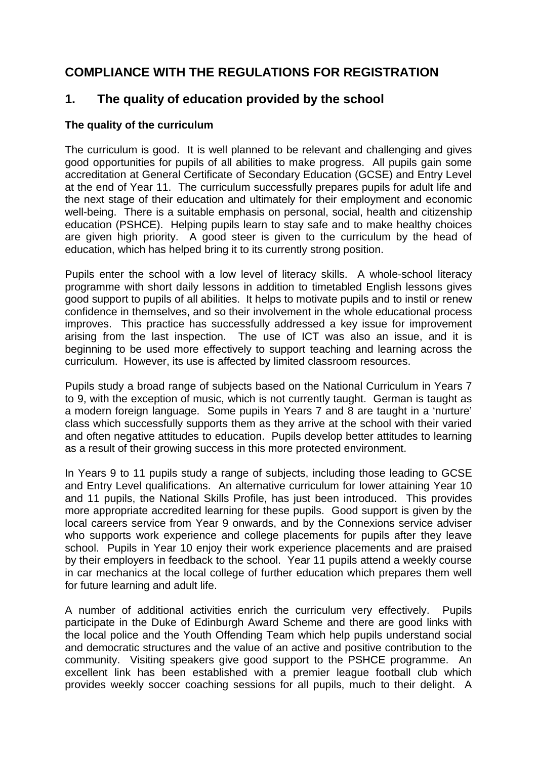# **COMPLIANCE WITH THE REGULATIONS FOR REGISTRATION**

# **1. The quality of education provided by the school**

## **The quality of the curriculum**

The curriculum is good. It is well planned to be relevant and challenging and gives good opportunities for pupils of all abilities to make progress. All pupils gain some accreditation at General Certificate of Secondary Education (GCSE) and Entry Level at the end of Year 11. The curriculum successfully prepares pupils for adult life and the next stage of their education and ultimately for their employment and economic well-being. There is a suitable emphasis on personal, social, health and citizenship education (PSHCE). Helping pupils learn to stay safe and to make healthy choices are given high priority. A good steer is given to the curriculum by the head of education, which has helped bring it to its currently strong position.

Pupils enter the school with a low level of literacy skills. A whole-school literacy programme with short daily lessons in addition to timetabled English lessons gives good support to pupils of all abilities. It helps to motivate pupils and to instil or renew confidence in themselves, and so their involvement in the whole educational process improves. This practice has successfully addressed a key issue for improvement arising from the last inspection. The use of ICT was also an issue, and it is beginning to be used more effectively to support teaching and learning across the curriculum. However, its use is affected by limited classroom resources.

Pupils study a broad range of subjects based on the National Curriculum in Years 7 to 9, with the exception of music, which is not currently taught. German is taught as a modern foreign language. Some pupils in Years 7 and 8 are taught in a 'nurture' class which successfully supports them as they arrive at the school with their varied and often negative attitudes to education. Pupils develop better attitudes to learning as a result of their growing success in this more protected environment.

In Years 9 to 11 pupils study a range of subjects, including those leading to GCSE and Entry Level qualifications. An alternative curriculum for lower attaining Year 10 and 11 pupils, the National Skills Profile, has just been introduced. This provides more appropriate accredited learning for these pupils. Good support is given by the local careers service from Year 9 onwards, and by the Connexions service adviser who supports work experience and college placements for pupils after they leave school. Pupils in Year 10 enjoy their work experience placements and are praised by their employers in feedback to the school. Year 11 pupils attend a weekly course in car mechanics at the local college of further education which prepares them well for future learning and adult life.

A number of additional activities enrich the curriculum very effectively. Pupils participate in the Duke of Edinburgh Award Scheme and there are good links with the local police and the Youth Offending Team which help pupils understand social and democratic structures and the value of an active and positive contribution to the community. Visiting speakers give good support to the PSHCE programme. An excellent link has been established with a premier league football club which provides weekly soccer coaching sessions for all pupils, much to their delight. A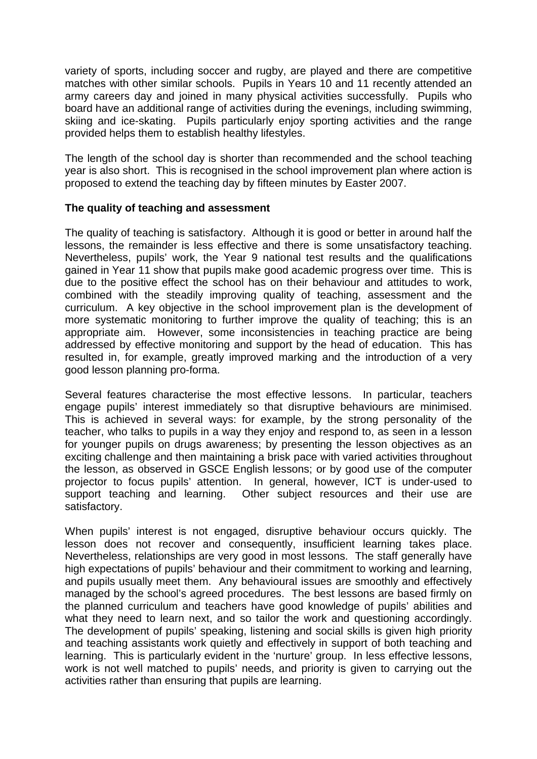variety of sports, including soccer and rugby, are played and there are competitive matches with other similar schools. Pupils in Years 10 and 11 recently attended an army careers day and joined in many physical activities successfully. Pupils who board have an additional range of activities during the evenings, including swimming, skiing and ice-skating. Pupils particularly enjoy sporting activities and the range provided helps them to establish healthy lifestyles.

The length of the school day is shorter than recommended and the school teaching year is also short. This is recognised in the school improvement plan where action is proposed to extend the teaching day by fifteen minutes by Easter 2007.

### **The quality of teaching and assessment**

The quality of teaching is satisfactory. Although it is good or better in around half the lessons, the remainder is less effective and there is some unsatisfactory teaching. Nevertheless, pupils' work, the Year 9 national test results and the qualifications gained in Year 11 show that pupils make good academic progress over time. This is due to the positive effect the school has on their behaviour and attitudes to work, combined with the steadily improving quality of teaching, assessment and the curriculum. A key objective in the school improvement plan is the development of more systematic monitoring to further improve the quality of teaching; this is an appropriate aim. However, some inconsistencies in teaching practice are being addressed by effective monitoring and support by the head of education. This has resulted in, for example, greatly improved marking and the introduction of a very good lesson planning pro-forma.

Several features characterise the most effective lessons. In particular, teachers engage pupils' interest immediately so that disruptive behaviours are minimised. This is achieved in several ways: for example, by the strong personality of the teacher, who talks to pupils in a way they enjoy and respond to, as seen in a lesson for younger pupils on drugs awareness; by presenting the lesson objectives as an exciting challenge and then maintaining a brisk pace with varied activities throughout the lesson, as observed in GSCE English lessons; or by good use of the computer projector to focus pupils' attention. In general, however, ICT is under-used to support teaching and learning. Other subject resources and their use are satisfactory.

When pupils' interest is not engaged, disruptive behaviour occurs quickly. The lesson does not recover and consequently, insufficient learning takes place. Nevertheless, relationships are very good in most lessons. The staff generally have high expectations of pupils' behaviour and their commitment to working and learning, and pupils usually meet them. Any behavioural issues are smoothly and effectively managed by the school's agreed procedures. The best lessons are based firmly on the planned curriculum and teachers have good knowledge of pupils' abilities and what they need to learn next, and so tailor the work and questioning accordingly. The development of pupils' speaking, listening and social skills is given high priority and teaching assistants work quietly and effectively in support of both teaching and learning. This is particularly evident in the 'nurture' group. In less effective lessons, work is not well matched to pupils' needs, and priority is given to carrying out the activities rather than ensuring that pupils are learning.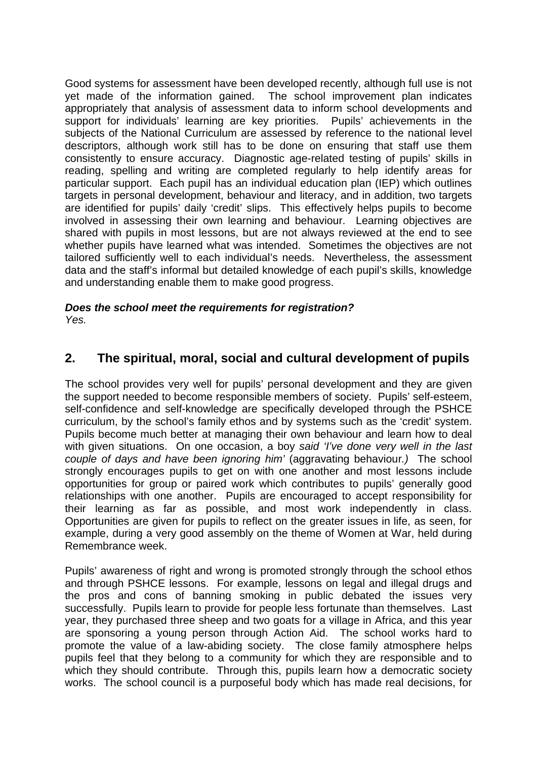Good systems for assessment have been developed recently, although full use is not yet made of the information gained. The school improvement plan indicates appropriately that analysis of assessment data to inform school developments and support for individuals' learning are key priorities. Pupils' achievements in the subjects of the National Curriculum are assessed by reference to the national level descriptors, although work still has to be done on ensuring that staff use them consistently to ensure accuracy. Diagnostic age-related testing of pupils' skills in reading, spelling and writing are completed regularly to help identify areas for particular support. Each pupil has an individual education plan (IEP) which outlines targets in personal development, behaviour and literacy, and in addition, two targets are identified for pupils' daily 'credit' slips. This effectively helps pupils to become involved in assessing their own learning and behaviour. Learning objectives are shared with pupils in most lessons, but are not always reviewed at the end to see whether pupils have learned what was intended. Sometimes the objectives are not tailored sufficiently well to each individual's needs. Nevertheless, the assessment data and the staff's informal but detailed knowledge of each pupil's skills, knowledge and understanding enable them to make good progress.

#### *Does the school meet the requirements for registration? Yes.*

# **2. The spiritual, moral, social and cultural development of pupils**

The school provides very well for pupils' personal development and they are given the support needed to become responsible members of society. Pupils' self-esteem, self-confidence and self-knowledge are specifically developed through the PSHCE curriculum, by the school's family ethos and by systems such as the 'credit' system. Pupils become much better at managing their own behaviour and learn how to deal with given situations. On one occasion, a boy *said 'I've done very well in the last couple of days and have been ignoring him'* (aggravating behaviour*.)* The school strongly encourages pupils to get on with one another and most lessons include opportunities for group or paired work which contributes to pupils' generally good relationships with one another. Pupils are encouraged to accept responsibility for their learning as far as possible, and most work independently in class. Opportunities are given for pupils to reflect on the greater issues in life, as seen, for example, during a very good assembly on the theme of Women at War, held during Remembrance week.

Pupils' awareness of right and wrong is promoted strongly through the school ethos and through PSHCE lessons. For example, lessons on legal and illegal drugs and the pros and cons of banning smoking in public debated the issues very successfully. Pupils learn to provide for people less fortunate than themselves. Last year, they purchased three sheep and two goats for a village in Africa, and this year are sponsoring a young person through Action Aid. The school works hard to promote the value of a law-abiding society. The close family atmosphere helps pupils feel that they belong to a community for which they are responsible and to which they should contribute. Through this, pupils learn how a democratic society works. The school council is a purposeful body which has made real decisions, for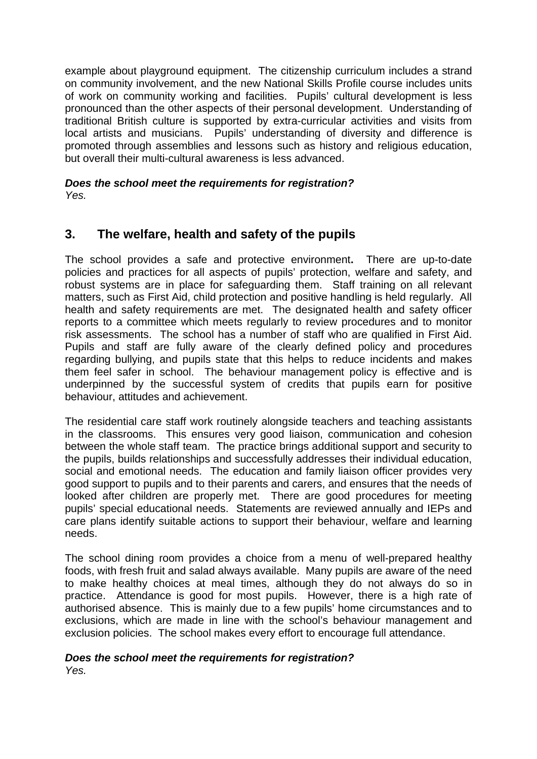example about playground equipment. The citizenship curriculum includes a strand on community involvement, and the new National Skills Profile course includes units of work on community working and facilities. Pupils' cultural development is less pronounced than the other aspects of their personal development. Understanding of traditional British culture is supported by extra-curricular activities and visits from local artists and musicians. Pupils' understanding of diversity and difference is promoted through assemblies and lessons such as history and religious education, but overall their multi-cultural awareness is less advanced.

#### *Does the school meet the requirements for registration? Yes.*

# **3. The welfare, health and safety of the pupils**

The school provides a safe and protective environment**.** There are up-to-date policies and practices for all aspects of pupils' protection, welfare and safety, and robust systems are in place for safeguarding them. Staff training on all relevant matters, such as First Aid, child protection and positive handling is held regularly. All health and safety requirements are met. The designated health and safety officer reports to a committee which meets regularly to review procedures and to monitor risk assessments. The school has a number of staff who are qualified in First Aid. Pupils and staff are fully aware of the clearly defined policy and procedures regarding bullying, and pupils state that this helps to reduce incidents and makes them feel safer in school. The behaviour management policy is effective and is underpinned by the successful system of credits that pupils earn for positive behaviour, attitudes and achievement.

The residential care staff work routinely alongside teachers and teaching assistants in the classrooms. This ensures very good liaison, communication and cohesion between the whole staff team. The practice brings additional support and security to the pupils, builds relationships and successfully addresses their individual education, social and emotional needs. The education and family liaison officer provides very good support to pupils and to their parents and carers, and ensures that the needs of looked after children are properly met. There are good procedures for meeting pupils' special educational needs. Statements are reviewed annually and IEPs and care plans identify suitable actions to support their behaviour, welfare and learning needs.

The school dining room provides a choice from a menu of well-prepared healthy foods, with fresh fruit and salad always available. Many pupils are aware of the need to make healthy choices at meal times, although they do not always do so in practice. Attendance is good for most pupils. However, there is a high rate of authorised absence. This is mainly due to a few pupils' home circumstances and to exclusions, which are made in line with the school's behaviour management and exclusion policies. The school makes every effort to encourage full attendance.

#### *Does the school meet the requirements for registration? Yes.*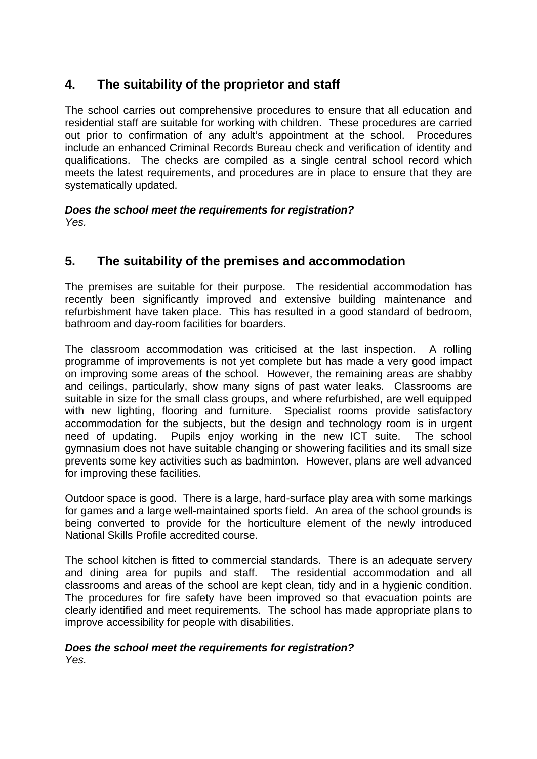# **4. The suitability of the proprietor and staff**

The school carries out comprehensive procedures to ensure that all education and residential staff are suitable for working with children. These procedures are carried out prior to confirmation of any adult's appointment at the school. Procedures include an enhanced Criminal Records Bureau check and verification of identity and qualifications. The checks are compiled as a single central school record which meets the latest requirements, and procedures are in place to ensure that they are systematically updated.

### *Does the school meet the requirements for registration? Yes.*

# **5. The suitability of the premises and accommodation**

The premises are suitable for their purpose. The residential accommodation has recently been significantly improved and extensive building maintenance and refurbishment have taken place. This has resulted in a good standard of bedroom, bathroom and day-room facilities for boarders.

The classroom accommodation was criticised at the last inspection. A rolling programme of improvements is not yet complete but has made a very good impact on improving some areas of the school. However, the remaining areas are shabby and ceilings, particularly, show many signs of past water leaks. Classrooms are suitable in size for the small class groups, and where refurbished, are well equipped with new lighting, flooring and furniture. Specialist rooms provide satisfactory accommodation for the subjects, but the design and technology room is in urgent need of updating. Pupils enjoy working in the new ICT suite. The school gymnasium does not have suitable changing or showering facilities and its small size prevents some key activities such as badminton. However, plans are well advanced for improving these facilities.

Outdoor space is good. There is a large, hard-surface play area with some markings for games and a large well-maintained sports field. An area of the school grounds is being converted to provide for the horticulture element of the newly introduced National Skills Profile accredited course.

The school kitchen is fitted to commercial standards. There is an adequate servery and dining area for pupils and staff. The residential accommodation and all classrooms and areas of the school are kept clean, tidy and in a hygienic condition. The procedures for fire safety have been improved so that evacuation points are clearly identified and meet requirements. The school has made appropriate plans to improve accessibility for people with disabilities.

## *Does the school meet the requirements for registration?*

*Yes.*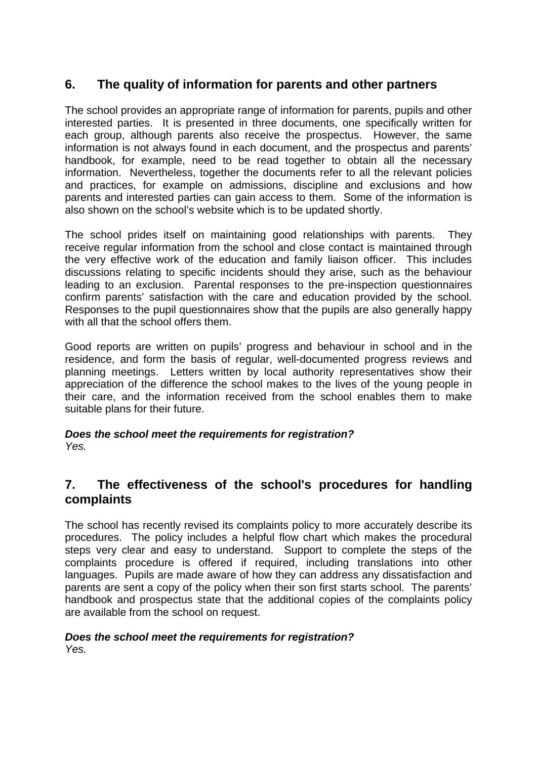# **6. The quality of information for parents and other partners**

The school provides an appropriate range of information for parents, pupils and other interested parties. It is presented in three documents, one specifically written for each group, although parents also receive the prospectus. However, the same information is not always found in each document, and the prospectus and parents' handbook, for example, need to be read together to obtain all the necessary information. Nevertheless, together the documents refer to all the relevant policies and practices, for example on admissions, discipline and exclusions and how parents and interested parties can gain access to them. Some of the information is also shown on the school's website which is to be updated shortly.

The school prides itself on maintaining good relationships with parents. They receive regular information from the school and close contact is maintained through the very effective work of the education and family liaison officer. This includes discussions relating to specific incidents should they arise, such as the behaviour leading to an exclusion. Parental responses to the pre-inspection questionnaires confirm parents' satisfaction with the care and education provided by the school. Responses to the pupil questionnaires show that the pupils are also generally happy with all that the school offers them.

Good reports are written on pupils' progress and behaviour in school and in the residence, and form the basis of regular, well-documented progress reviews and planning meetings. Letters written by local authority representatives show their appreciation of the difference the school makes to the lives of the young people in their care, and the information received from the school enables them to make suitable plans for their future.

### *Does the school meet the requirements for registration? Yes.*

# **7. The effectiveness of the school's procedures for handling complaints**

The school has recently revised its complaints policy to more accurately describe its procedures. The policy includes a helpful flow chart which makes the procedural steps very clear and easy to understand. Support to complete the steps of the complaints procedure is offered if required, including translations into other languages. Pupils are made aware of how they can address any dissatisfaction and parents are sent a copy of the policy when their son first starts school. The parents' handbook and prospectus state that the additional copies of the complaints policy are available from the school on request.

# *Does the school meet the requirements for registration?*

*Yes.*